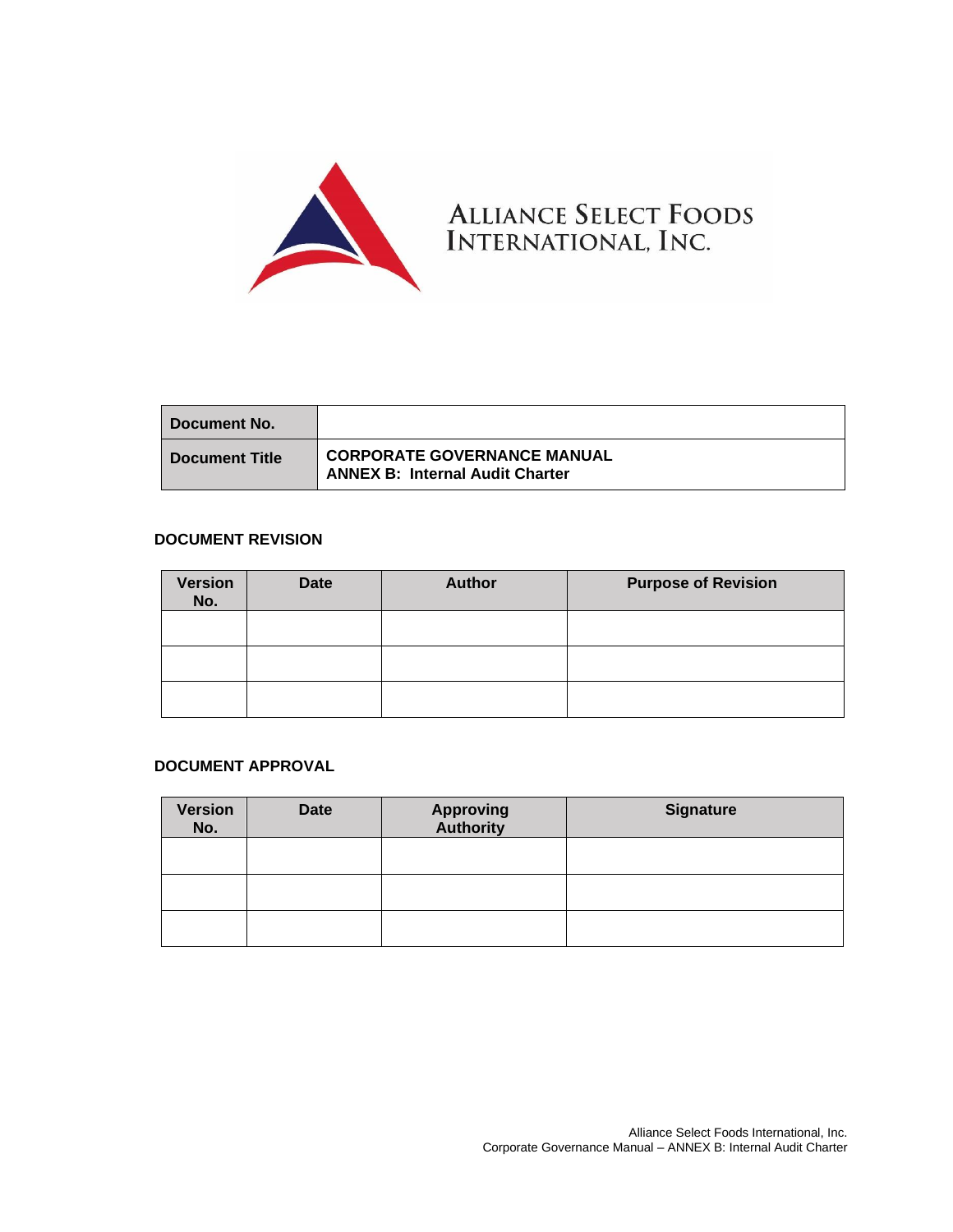

| Document No.          |                                                                              |
|-----------------------|------------------------------------------------------------------------------|
| <b>Document Title</b> | <b>CORPORATE GOVERNANCE MANUAL</b><br><b>ANNEX B: Internal Audit Charter</b> |

## **DOCUMENT REVISION**

| <b>Version</b><br>No. | <b>Date</b> | <b>Author</b> | <b>Purpose of Revision</b> |
|-----------------------|-------------|---------------|----------------------------|
|                       |             |               |                            |
|                       |             |               |                            |
|                       |             |               |                            |

## **DOCUMENT APPROVAL**

| <b>Version</b><br>No. | <b>Date</b> | <b>Approving</b><br><b>Authority</b> | <b>Signature</b> |
|-----------------------|-------------|--------------------------------------|------------------|
|                       |             |                                      |                  |
|                       |             |                                      |                  |
|                       |             |                                      |                  |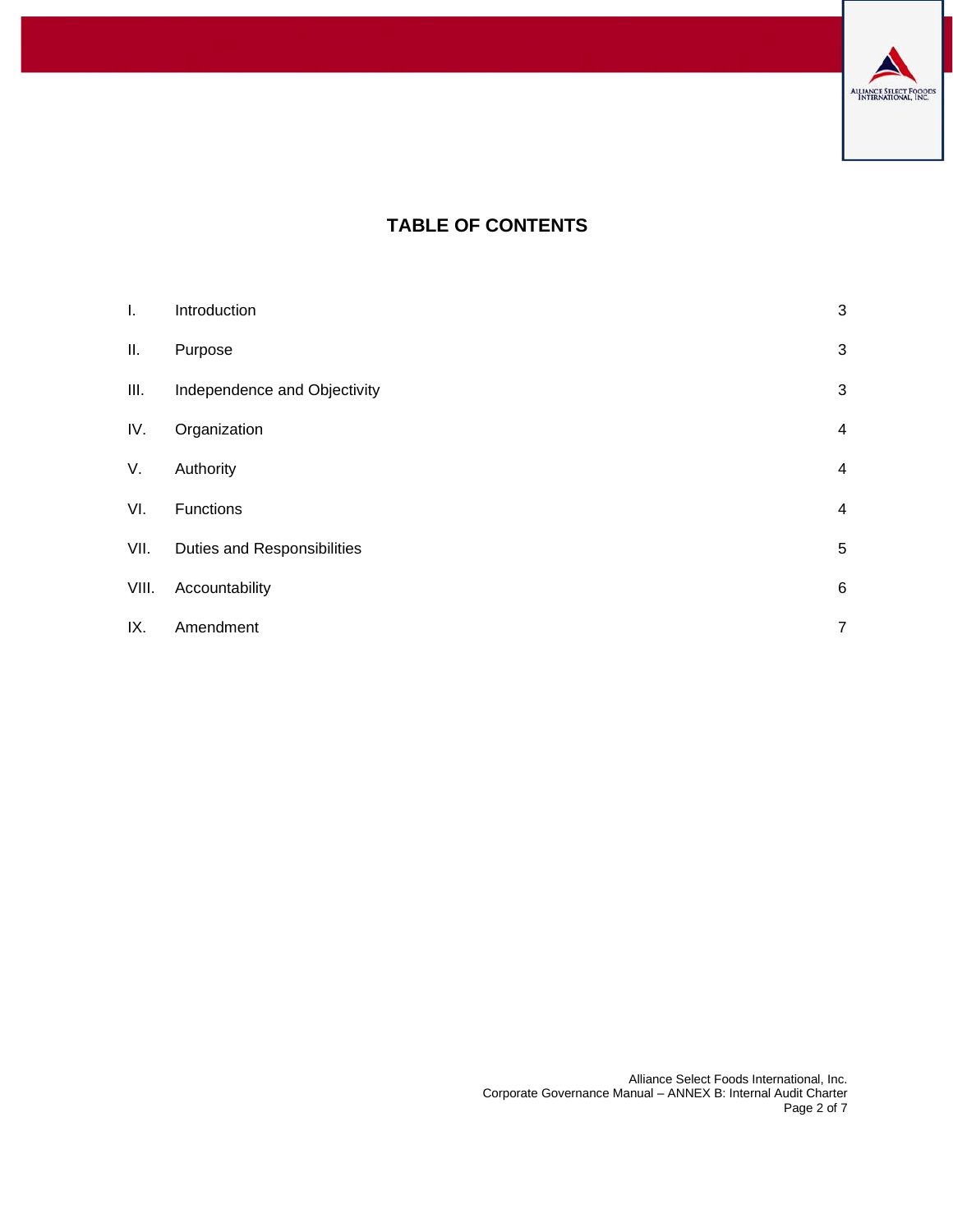

# **TABLE OF CONTENTS**

| I.    | Introduction                 | $\mathbf{3}$   |
|-------|------------------------------|----------------|
| Ш.    | Purpose                      | $\mathbf{3}$   |
| Ш.    | Independence and Objectivity | 3              |
| IV.   | Organization                 | $\overline{4}$ |
| V.    | Authority                    | 4              |
| VI.   | Functions                    | $\overline{4}$ |
| VII.  | Duties and Responsibilities  | $\sqrt{5}$     |
| VIII. | Accountability               | $\,6$          |
| IX.   | Amendment                    | $\overline{7}$ |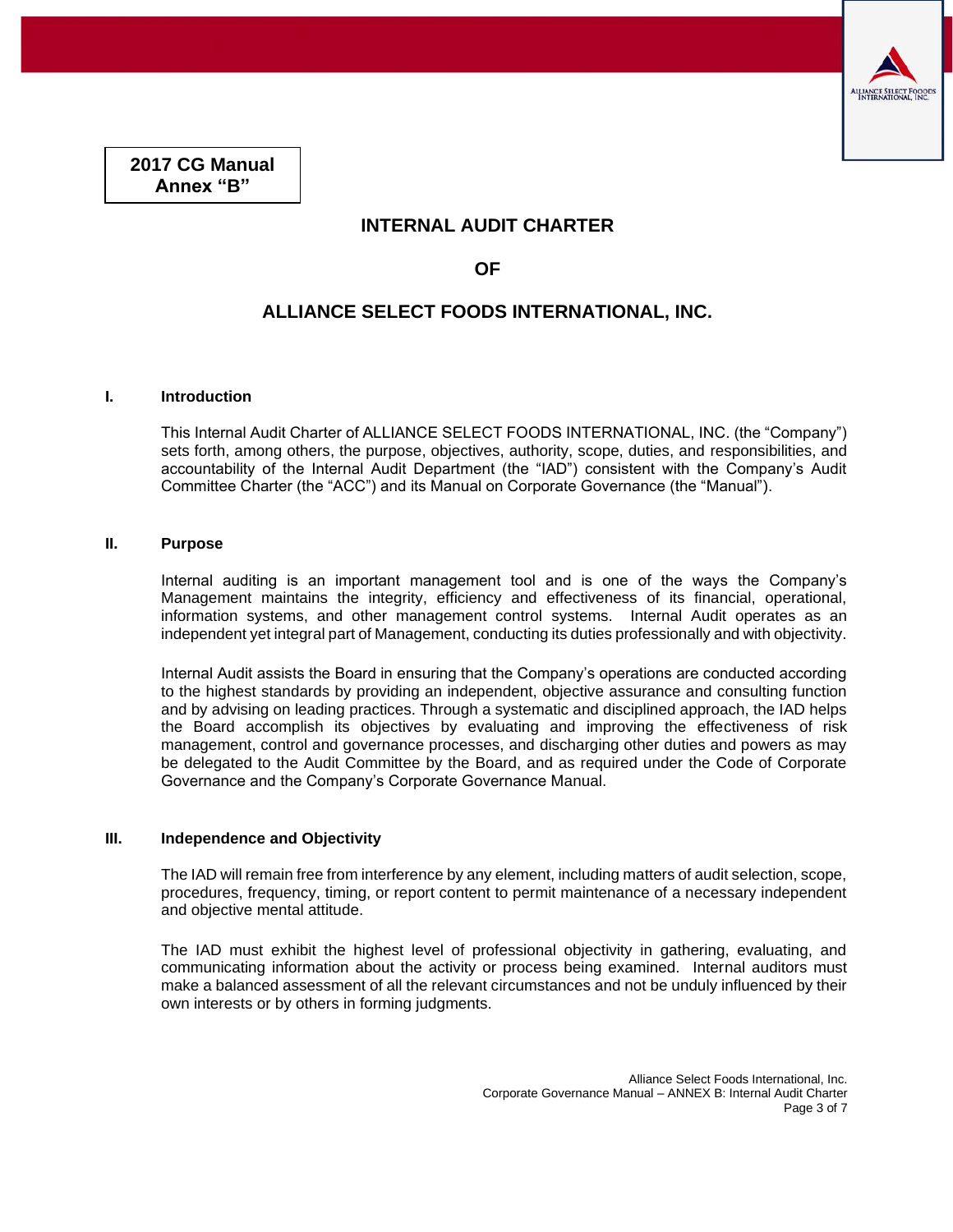

**2017 CG Manual Annex "B"**

## **INTERNAL AUDIT CHARTER**

**OF** 

# **ALLIANCE SELECT FOODS INTERNATIONAL, INC.**

#### <span id="page-2-0"></span>**I. Introduction**

This Internal Audit Charter of ALLIANCE SELECT FOODS INTERNATIONAL, INC. (the "Company") sets forth, among others, the purpose, objectives, authority, scope, duties, and responsibilities, and accountability of the Internal Audit Department (the "IAD") consistent with the Company's Audit Committee Charter (the "ACC") and its Manual on Corporate Governance (the "Manual").

#### <span id="page-2-1"></span>**II. Purpose**

Internal auditing is an important management tool and is one of the ways the Company's Management maintains the integrity, efficiency and effectiveness of its financial, operational, information systems, and other management control systems. Internal Audit operates as an independent yet integral part of Management, conducting its duties professionally and with objectivity.

Internal Audit assists the Board in ensuring that the Company's operations are conducted according to the highest standards by providing an independent, objective assurance and consulting function and by advising on leading practices. Through a systematic and disciplined approach, the IAD helps the Board accomplish its objectives by evaluating and improving the effectiveness of risk management, control and governance processes, and discharging other duties and powers as may be delegated to the Audit Committee by the Board, and as required under the Code of Corporate Governance and the Company's Corporate Governance Manual.

#### <span id="page-2-2"></span>**III. Independence and Objectivity**

The IAD will remain free from interference by any element, including matters of audit selection, scope, procedures, frequency, timing, or report content to permit maintenance of a necessary independent and objective mental attitude.

The IAD must exhibit the highest level of professional objectivity in gathering, evaluating, and communicating information about the activity or process being examined. Internal auditors must make a balanced assessment of all the relevant circumstances and not be unduly influenced by their own interests or by others in forming judgments.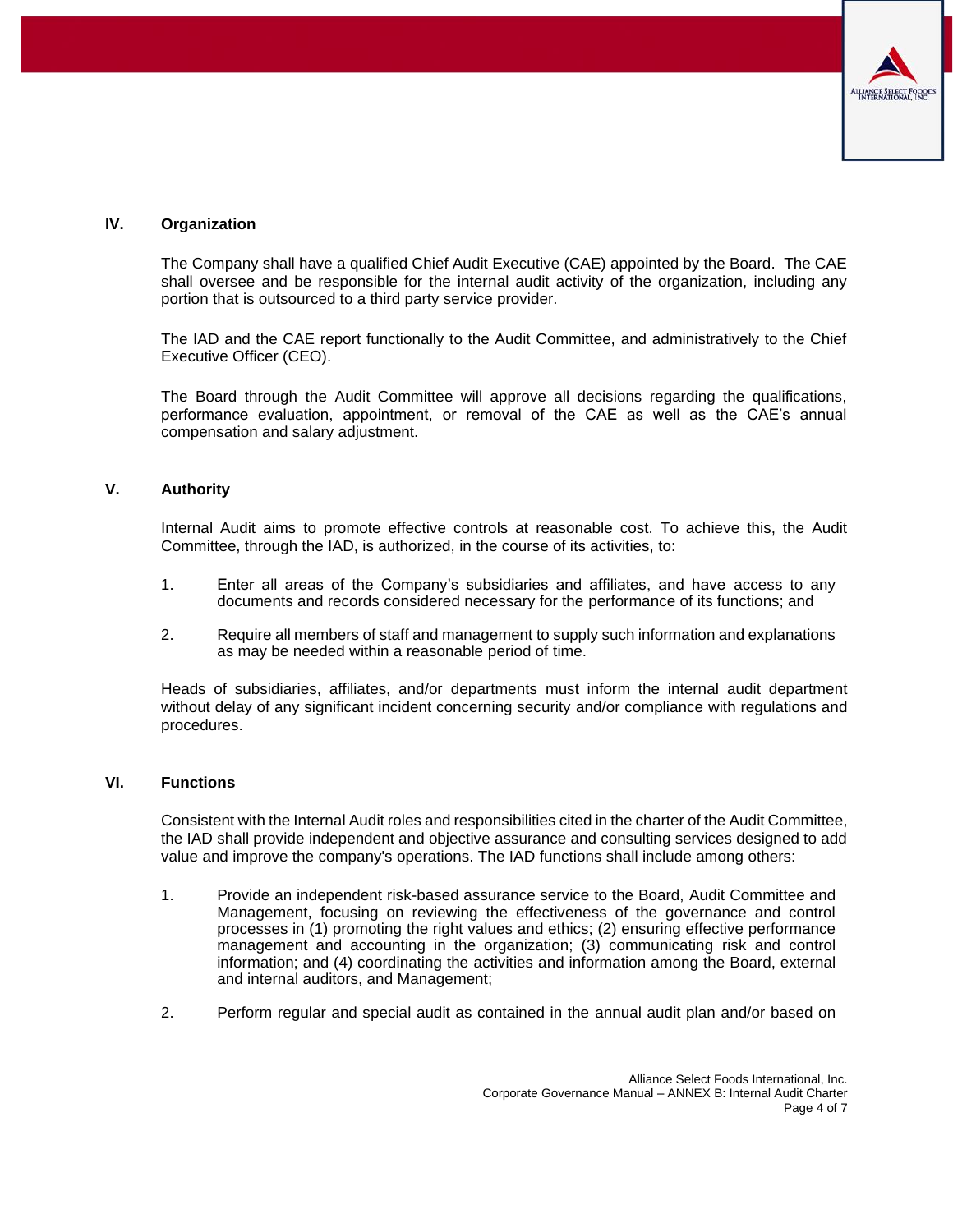

#### <span id="page-3-0"></span>**IV. Organization**

The Company shall have a qualified Chief Audit Executive (CAE) appointed by the Board. The CAE shall oversee and be responsible for the internal audit activity of the organization, including any portion that is outsourced to a third party service provider.

The IAD and the CAE report functionally to the Audit Committee, and administratively to the Chief Executive Officer (CEO).

The Board through the Audit Committee will approve all decisions regarding the qualifications, performance evaluation, appointment, or removal of the CAE as well as the CAE's annual compensation and salary adjustment.

#### <span id="page-3-1"></span>**V. Authority**

Internal Audit aims to promote effective controls at reasonable cost. To achieve this, the Audit Committee, through the IAD, is authorized, in the course of its activities, to:

- 1. Enter all areas of the Company's subsidiaries and affiliates, and have access to any documents and records considered necessary for the performance of its functions; and
- 2. Require all members of staff and management to supply such information and explanations as may be needed within a reasonable period of time.

Heads of subsidiaries, affiliates, and/or departments must inform the internal audit department without delay of any significant incident concerning security and/or compliance with regulations and procedures.

#### <span id="page-3-2"></span>**VI. Functions**

Consistent with the Internal Audit roles and responsibilities cited in the charter of the Audit Committee, the IAD shall provide independent and objective assurance and consulting services designed to add value and improve the company's operations. The IAD functions shall include among others:

- 1. Provide an independent risk-based assurance service to the Board, Audit Committee and Management, focusing on reviewing the effectiveness of the governance and control processes in (1) promoting the right values and ethics; (2) ensuring effective performance management and accounting in the organization; (3) communicating risk and control information; and (4) coordinating the activities and information among the Board, external and internal auditors, and Management;
- 2. Perform regular and special audit as contained in the annual audit plan and/or based on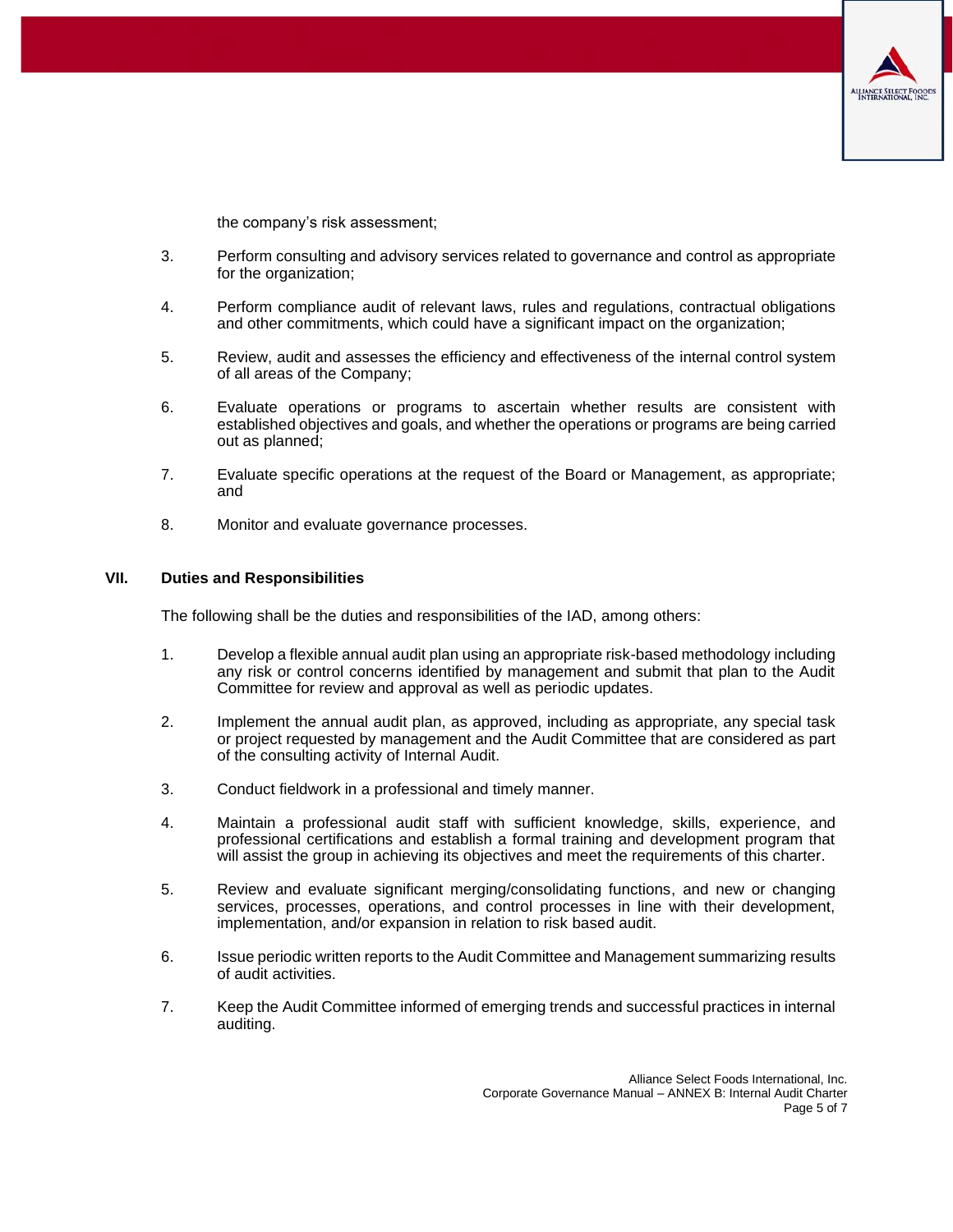

the company's risk assessment;

- 3. Perform consulting and advisory services related to governance and control as appropriate for the organization;
- 4. Perform compliance audit of relevant laws, rules and regulations, contractual obligations and other commitments, which could have a significant impact on the organization;
- 5. Review, audit and assesses the efficiency and effectiveness of the internal control system of all areas of the Company;
- 6. Evaluate operations or programs to ascertain whether results are consistent with established objectives and goals, and whether the operations or programs are being carried out as planned;
- 7. Evaluate specific operations at the request of the Board or Management, as appropriate; and
- 8. Monitor and evaluate governance processes.

#### <span id="page-4-0"></span>**VII. Duties and Responsibilities**

The following shall be the duties and responsibilities of the IAD, among others:

- 1. Develop a flexible annual audit plan using an appropriate risk-based methodology including any risk or control concerns identified by management and submit that plan to the Audit Committee for review and approval as well as periodic updates.
- 2. Implement the annual audit plan, as approved, including as appropriate, any special task or project requested by management and the Audit Committee that are considered as part of the consulting activity of Internal Audit.
- 3. Conduct fieldwork in a professional and timely manner.
- 4. Maintain a professional audit staff with sufficient knowledge, skills, experience, and professional certifications and establish a formal training and development program that will assist the group in achieving its objectives and meet the requirements of this charter.
- 5. Review and evaluate significant merging/consolidating functions, and new or changing services, processes, operations, and control processes in line with their development, implementation, and/or expansion in relation to risk based audit.
- 6. Issue periodic written reports to the Audit Committee and Management summarizing results of audit activities.
- 7. Keep the Audit Committee informed of emerging trends and successful practices in internal auditing.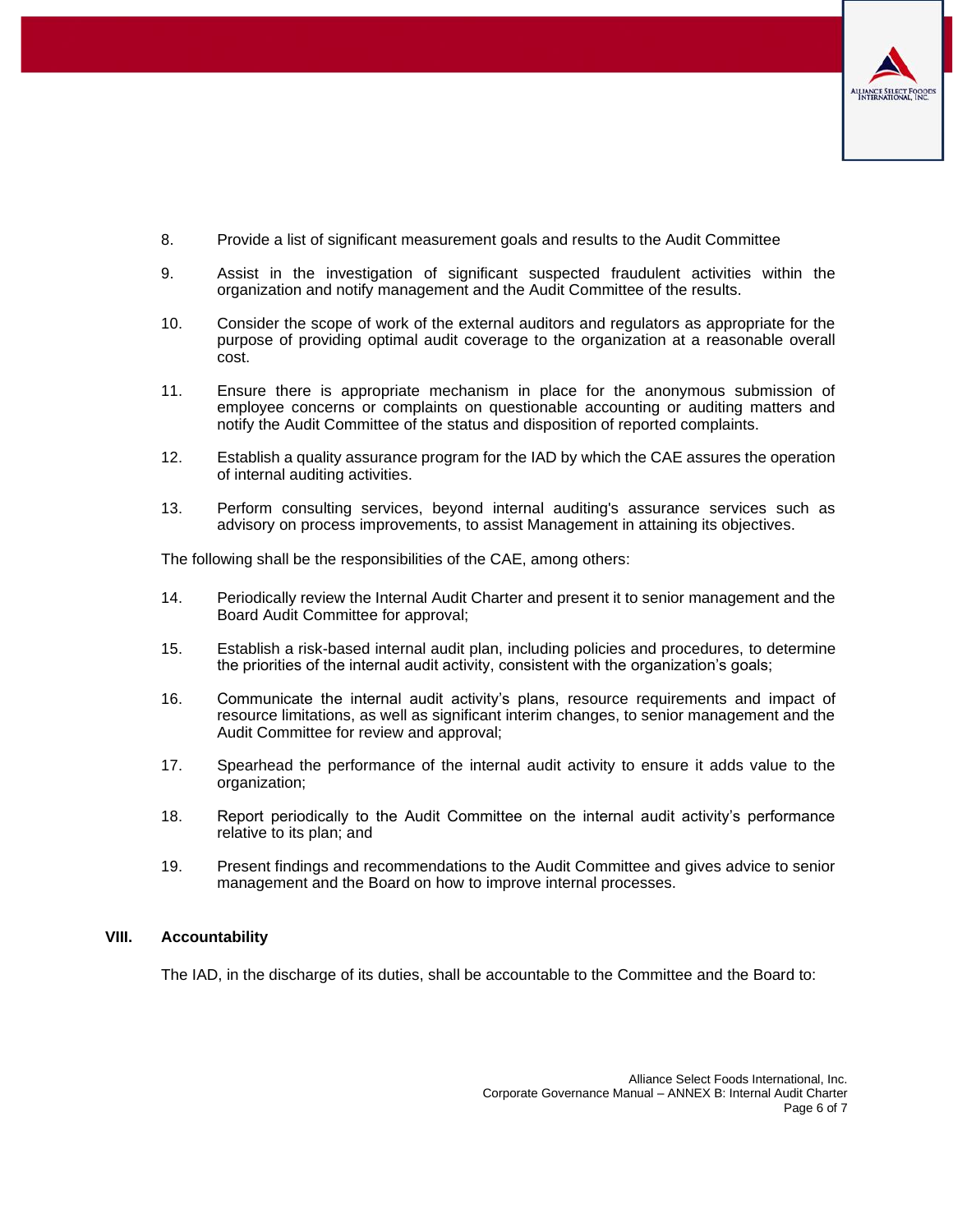

- 8. Provide a list of significant measurement goals and results to the Audit Committee
- 9. Assist in the investigation of significant suspected fraudulent activities within the organization and notify management and the Audit Committee of the results.
- 10. Consider the scope of work of the external auditors and regulators as appropriate for the purpose of providing optimal audit coverage to the organization at a reasonable overall cost.
- 11. Ensure there is appropriate mechanism in place for the anonymous submission of employee concerns or complaints on questionable accounting or auditing matters and notify the Audit Committee of the status and disposition of reported complaints.
- 12. Establish a quality assurance program for the IAD by which the CAE assures the operation of internal auditing activities.
- 13. Perform consulting services, beyond internal auditing's assurance services such as advisory on process improvements, to assist Management in attaining its objectives.

The following shall be the responsibilities of the CAE, among others:

- 14. Periodically review the Internal Audit Charter and present it to senior management and the Board Audit Committee for approval;
- 15. Establish a risk-based internal audit plan, including policies and procedures, to determine the priorities of the internal audit activity, consistent with the organization's goals;
- 16. Communicate the internal audit activity's plans, resource requirements and impact of resource limitations, as well as significant interim changes, to senior management and the Audit Committee for review and approval;
- 17. Spearhead the performance of the internal audit activity to ensure it adds value to the organization;
- 18. Report periodically to the Audit Committee on the internal audit activity's performance relative to its plan; and
- 19. Present findings and recommendations to the Audit Committee and gives advice to senior management and the Board on how to improve internal processes.

#### <span id="page-5-0"></span>**VIII. Accountability**

The IAD, in the discharge of its duties, shall be accountable to the Committee and the Board to: